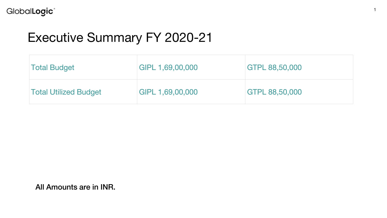# Executive Summary FY 2020-21

| <b>Total Budget</b>          | GIPL 1,69,00,000 | GTPL 88,50,000 |
|------------------------------|------------------|----------------|
| <b>Total Utilized Budget</b> | GIPL 1,69,00,000 | GTPL 88,50,000 |

All Amounts are in INR.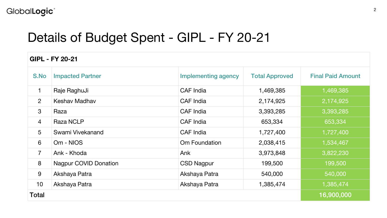### GlobalLogic<sup>®</sup>

## Details of Budget Spent - GIPL - FY 20-21

| <b>GIPL - FY 20-21</b> |                              |                            |                       |                          |  |  |
|------------------------|------------------------------|----------------------------|-----------------------|--------------------------|--|--|
| S.No                   | <b>Impacted Partner</b>      | <b>Implementing agency</b> | <b>Total Approved</b> | <b>Final Paid Amount</b> |  |  |
| 1                      | Raje RaghuJi                 | CAF India                  | 1,469,385             | 1,469,385                |  |  |
| 2                      | Keshav Madhav                | CAF India                  | 2,174,925             | 2,174,925                |  |  |
| 3                      | Raza                         | CAF India                  | 3,393,285             | 3,393,285                |  |  |
| $\overline{4}$         | Raza NCLP                    | CAF India                  | 653,334               | 653,334                  |  |  |
| 5                      | Swami Vivekanand             | CAF India                  | 1,727,400             | 1,727,400                |  |  |
| 6                      | Om - NIOS                    | Om Foundation              | 2,038,415             | 1,534,467                |  |  |
| 7                      | Ank - Khoda                  | Ank                        | 3,973,848             | 3,822,230                |  |  |
| 8                      | <b>Nagpur COVID Donation</b> | CSD Nagpur                 | 199,500               | 199,500                  |  |  |
| 9                      | Akshaya Patra                | Akshaya Patra              | 540,000               | 540,000                  |  |  |
| 10                     | Akshaya Patra                | Akshaya Patra              | 1,385,474             | 1,385,474                |  |  |
| Total                  |                              |                            |                       | 16,900,000               |  |  |